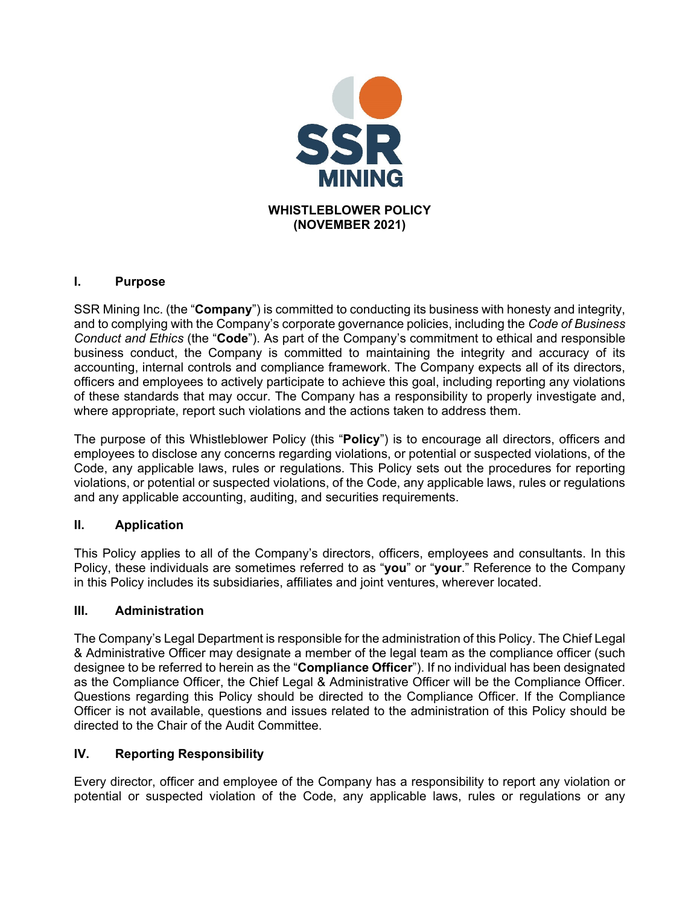

### **I. Purpose**

SSR Mining Inc. (the "**Company**") is committed to conducting its business with honesty and integrity, and to complying with the Company's corporate governance policies, including the *Code of Business Conduct and Ethics* (the "**Code**"). As part of the Company's commitment to ethical and responsible business conduct, the Company is committed to maintaining the integrity and accuracy of its accounting, internal controls and compliance framework. The Company expects all of its directors, officers and employees to actively participate to achieve this goal, including reporting any violations of these standards that may occur. The Company has a responsibility to properly investigate and, where appropriate, report such violations and the actions taken to address them.

The purpose of this Whistleblower Policy (this "**Policy**") is to encourage all directors, officers and employees to disclose any concerns regarding violations, or potential or suspected violations, of the Code, any applicable laws, rules or regulations. This Policy sets out the procedures for reporting violations, or potential or suspected violations, of the Code, any applicable laws, rules or regulations and any applicable accounting, auditing, and securities requirements.

# **II. Application**

This Policy applies to all of the Company's directors, officers, employees and consultants. In this Policy, these individuals are sometimes referred to as "**you**" or "**your**." Reference to the Company in this Policy includes its subsidiaries, affiliates and joint ventures, wherever located.

### **III. Administration**

The Company's Legal Department is responsible for the administration of this Policy. The Chief Legal & Administrative Officer may designate a member of the legal team as the compliance officer (such designee to be referred to herein as the "**Compliance Officer**"). If no individual has been designated as the Compliance Officer, the Chief Legal & Administrative Officer will be the Compliance Officer. Questions regarding this Policy should be directed to the Compliance Officer. If the Compliance Officer is not available, questions and issues related to the administration of this Policy should be directed to the Chair of the Audit Committee.

# **IV. Reporting Responsibility**

Every director, officer and employee of the Company has a responsibility to report any violation or potential or suspected violation of the Code, any applicable laws, rules or regulations or any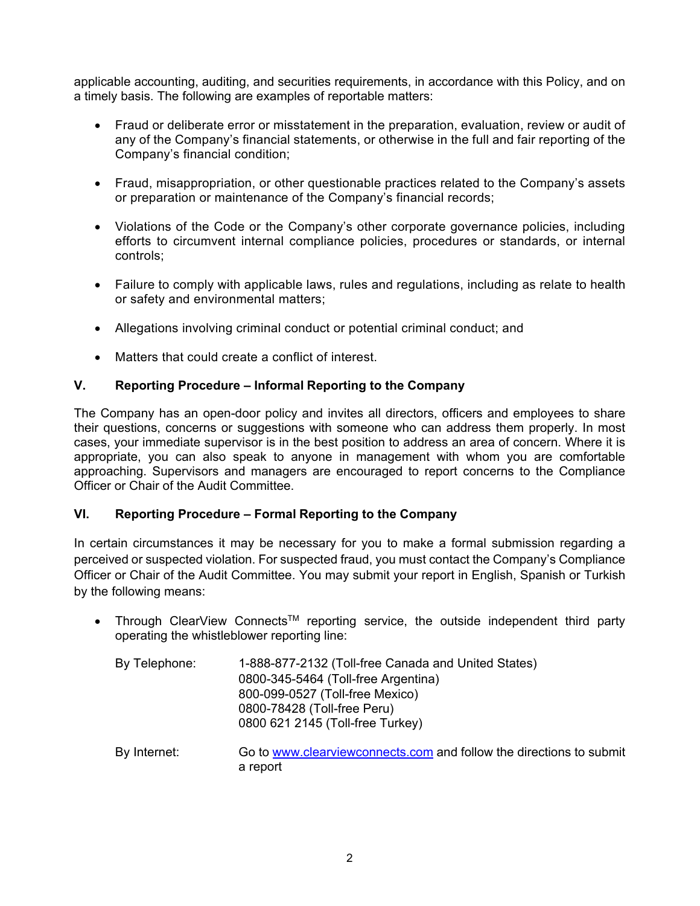applicable accounting, auditing, and securities requirements, in accordance with this Policy, and on a timely basis. The following are examples of reportable matters:

- Fraud or deliberate error or misstatement in the preparation, evaluation, review or audit of any of the Company's financial statements, or otherwise in the full and fair reporting of the Company's financial condition;
- Fraud, misappropriation, or other questionable practices related to the Company's assets or preparation or maintenance of the Company's financial records;
- Violations of the Code or the Company's other corporate governance policies, including efforts to circumvent internal compliance policies, procedures or standards, or internal controls;
- Failure to comply with applicable laws, rules and regulations, including as relate to health or safety and environmental matters;
- Allegations involving criminal conduct or potential criminal conduct; and
- Matters that could create a conflict of interest.

### **V. Reporting Procedure – Informal Reporting to the Company**

The Company has an open-door policy and invites all directors, officers and employees to share their questions, concerns or suggestions with someone who can address them properly. In most cases, your immediate supervisor is in the best position to address an area of concern. Where it is appropriate, you can also speak to anyone in management with whom you are comfortable approaching. Supervisors and managers are encouraged to report concerns to the Compliance Officer or Chair of the Audit Committee.

### **VI. Reporting Procedure – Formal Reporting to the Company**

In certain circumstances it may be necessary for you to make a formal submission regarding a perceived or suspected violation. For suspected fraud, you must contact the Company's Compliance Officer or Chair of the Audit Committee. You may submit your report in English, Spanish or Turkish by the following means:

• Through ClearView Connects<sup>TM</sup> reporting service, the outside independent third party operating the whistleblower reporting line:

| By Telephone: | 1-888-877-2132 (Toll-free Canada and United States) |
|---------------|-----------------------------------------------------|
|               | 0800-345-5464 (Toll-free Argentina)                 |
|               | 800-099-0527 (Toll-free Mexico)                     |
|               | 0800-78428 (Toll-free Peru)                         |
|               | 0800 621 2145 (Toll-free Turkey)                    |
|               |                                                     |

By Internet: Go to www.clearviewconnects.com and follow the directions to submit a report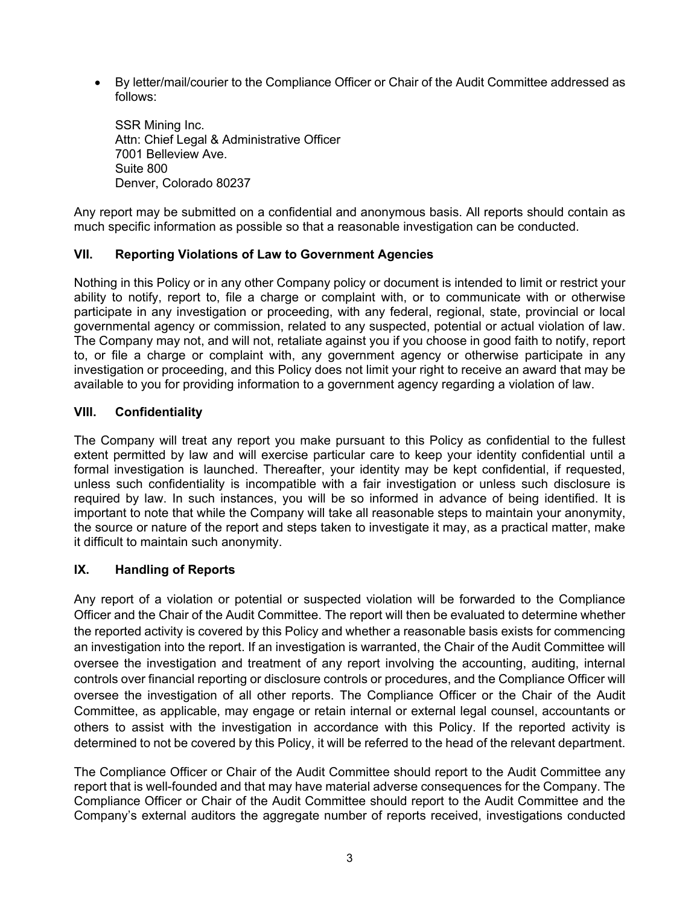By letter/mail/courier to the Compliance Officer or Chair of the Audit Committee addressed as follows:

 SSR Mining Inc. Attn: Chief Legal & Administrative Officer 7001 Belleview Ave. Suite 800 Denver, Colorado 80237

Any report may be submitted on a confidential and anonymous basis. All reports should contain as much specific information as possible so that a reasonable investigation can be conducted.

### **VII. Reporting Violations of Law to Government Agencies**

Nothing in this Policy or in any other Company policy or document is intended to limit or restrict your ability to notify, report to, file a charge or complaint with, or to communicate with or otherwise participate in any investigation or proceeding, with any federal, regional, state, provincial or local governmental agency or commission, related to any suspected, potential or actual violation of law. The Company may not, and will not, retaliate against you if you choose in good faith to notify, report to, or file a charge or complaint with, any government agency or otherwise participate in any investigation or proceeding, and this Policy does not limit your right to receive an award that may be available to you for providing information to a government agency regarding a violation of law.

### **VIII. Confidentiality**

The Company will treat any report you make pursuant to this Policy as confidential to the fullest extent permitted by law and will exercise particular care to keep your identity confidential until a formal investigation is launched. Thereafter, your identity may be kept confidential, if requested, unless such confidentiality is incompatible with a fair investigation or unless such disclosure is required by law. In such instances, you will be so informed in advance of being identified. It is important to note that while the Company will take all reasonable steps to maintain your anonymity, the source or nature of the report and steps taken to investigate it may, as a practical matter, make it difficult to maintain such anonymity.

### **IX. Handling of Reports**

Any report of a violation or potential or suspected violation will be forwarded to the Compliance Officer and the Chair of the Audit Committee. The report will then be evaluated to determine whether the reported activity is covered by this Policy and whether a reasonable basis exists for commencing an investigation into the report. If an investigation is warranted, the Chair of the Audit Committee will oversee the investigation and treatment of any report involving the accounting, auditing, internal controls over financial reporting or disclosure controls or procedures, and the Compliance Officer will oversee the investigation of all other reports. The Compliance Officer or the Chair of the Audit Committee, as applicable, may engage or retain internal or external legal counsel, accountants or others to assist with the investigation in accordance with this Policy. If the reported activity is determined to not be covered by this Policy, it will be referred to the head of the relevant department.

The Compliance Officer or Chair of the Audit Committee should report to the Audit Committee any report that is well-founded and that may have material adverse consequences for the Company. The Compliance Officer or Chair of the Audit Committee should report to the Audit Committee and the Company's external auditors the aggregate number of reports received, investigations conducted